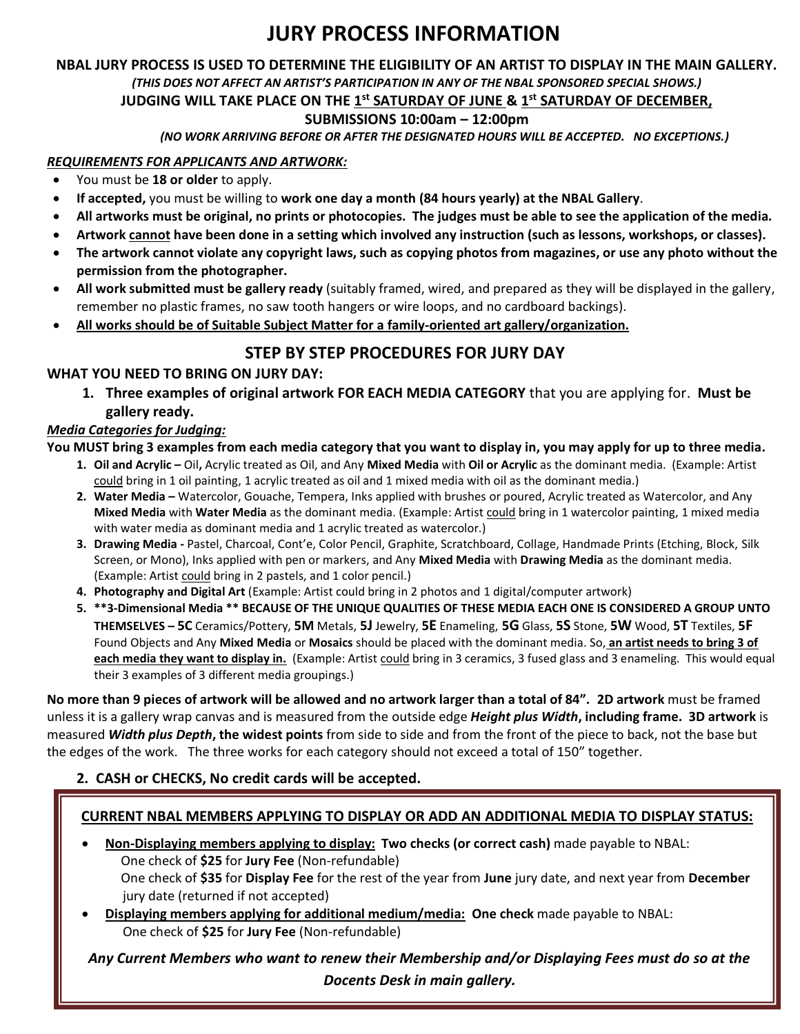# **JURY PROCESS INFORMATION**

# **NBAL JURY PROCESS IS USED TO DETERMINE THE ELIGIBILITY OF AN ARTIST TO DISPLAY IN THE MAIN GALLERY.**  *(THIS DOES NOT AFFECT AN ARTIST'S PARTICIPATION IN ANY OF THE NBAL SPONSORED SPECIAL SHOWS.)*

#### **JUDGING WILL TAKE PLACE ON THE 1 st SATURDAY OF JUNE & 1 st SATURDAY OF DECEMBER,**

#### **SUBMISSIONS 10:00am – 12:00pm**

*(NO WORK ARRIVING BEFORE OR AFTER THE DESIGNATED HOURS WILL BE ACCEPTED. NO EXCEPTIONS.)*

#### *REQUIREMENTS FOR APPLICANTS AND ARTWORK:*

- You must be **18 or older** to apply.
- **If accepted,** you must be willing to **work one day a month (84 hours yearly) at the NBAL Gallery**.
- **All artworks must be original, no prints or photocopies. The judges must be able to see the application of the media.**
- **Artwork cannot have been done in a setting which involved any instruction (such as lessons, workshops, or classes).**
- **The artwork cannot violate any copyright laws, such as copying photos from magazines, or use any photo without the permission from the photographer.**
- **All work submitted must be gallery ready** (suitably framed, wired, and prepared as they will be displayed in the gallery, remember no plastic frames, no saw tooth hangers or wire loops, and no cardboard backings).
- **All works should be of Suitable Subject Matter for a family-oriented art gallery/organization.**

# **STEP BY STEP PROCEDURES FOR JURY DAY**

#### **WHAT YOU NEED TO BRING ON JURY DAY:**

**1. Three examples of original artwork FOR EACH MEDIA CATEGORY** that you are applying for. **Must be gallery ready.**

#### *Media Categories for Judging:*

#### **You MUST bring 3 examples from each media category that you want to display in, you may apply for up to three media.**

- **1. Oil and Acrylic –** Oil**,** Acrylic treated as Oil, and Any **Mixed Media** with **Oil or Acrylic** as the dominant media. (Example: Artist could bring in 1 oil painting, 1 acrylic treated as oil and 1 mixed media with oil as the dominant media.)
- **2. Water Media –** Watercolor, Gouache, Tempera, Inks applied with brushes or poured, Acrylic treated as Watercolor, and Any **Mixed Media** with **Water Media** as the dominant media. (Example: Artist could bring in 1 watercolor painting, 1 mixed media with water media as dominant media and 1 acrylic treated as watercolor.)
- **3. Drawing Media -** Pastel, Charcoal, Cont'e, Color Pencil, Graphite, Scratchboard, Collage, Handmade Prints (Etching, Block, Silk Screen, or Mono), Inks applied with pen or markers, and Any **Mixed Media** with **Drawing Media** as the dominant media. (Example: Artist could bring in 2 pastels, and 1 color pencil.)
- **4. Photography and Digital Art** (Example: Artist could bring in 2 photos and 1 digital/computer artwork)
- **5. \*\*3-Dimensional Media \*\* BECAUSE OF THE UNIQUE QUALITIES OF THESE MEDIA EACH ONE IS CONSIDERED A GROUP UNTO**  THEMSELVES - 5C Ceramics/Pottery, 5M Metals, 5J Jewelry, 5E Enameling, 5G Glass, 5S Stone, 5W Wood, 5T Textiles, 5F Found Objects and Any **Mixed Media** or **Mosaics** should be placed with the dominant media. So, **an artist needs to bring 3 of each media they want to display in.** (Example: Artist could bring in 3 ceramics, 3 fused glass and 3 enameling. This would equal their 3 examples of 3 different media groupings.)

**No more than 9 pieces of artwork will be allowed and no artwork larger than a total of 84". 2D artwork** must be framed unless it is a gallery wrap canvas and is measured from the outside edge *Height plus Width***, including frame. 3D artwork** is measured *Width plus Depth***, the widest points** from side to side and from the front of the piece to back, not the base but the edges of the work. The three works for each category should not exceed a total of 150" together.

#### **2. CASH or CHECKS, No credit cards will be accepted.**

#### **CURRENT NBAL MEMBERS APPLYING TO DISPLAY OR ADD AN ADDITIONAL MEDIA TO DISPLAY STATUS:**

- **Non-Displaying members applying to display: Two checks (or correct cash)** made payable to NBAL: One check of **\$25** for **Jury Fee** (Non-refundable) One check of **\$35** for **Display Fee** for the rest of the year from **June** jury date, and next year from **December** jury date (returned if not accepted)
- **Displaying members applying for additional medium/media: One check** made payable to NBAL: One check of **\$25** for **Jury Fee** (Non-refundable)

*Any Current Members who want to renew their Membership and/or Displaying Fees must do so at the Docents Desk in main gallery.*